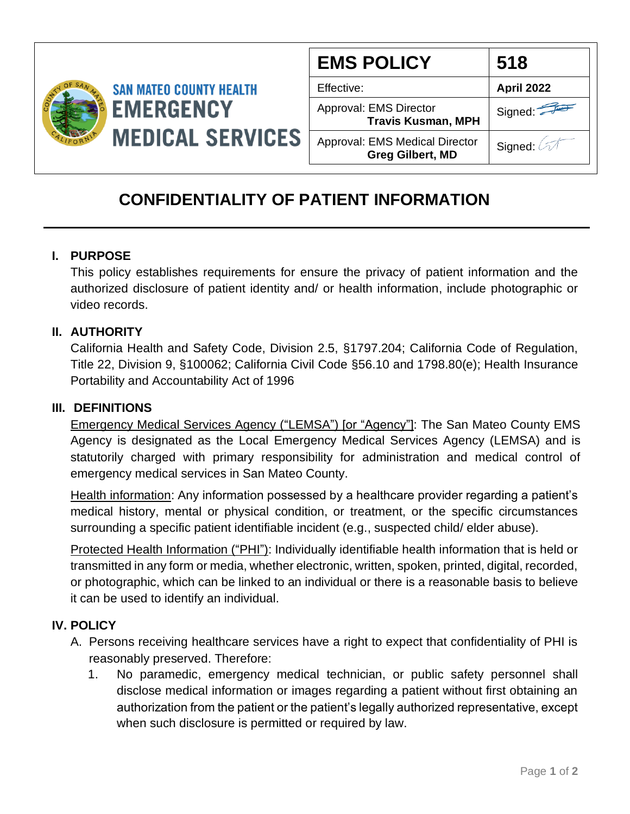

| <b>EMS POLICY</b>                                         | 518        |
|-----------------------------------------------------------|------------|
| Effective:                                                | April 2022 |
| Approval: EMS Director<br><b>Travis Kusman, MPH</b>       | Signed:    |
| Approval: EMS Medical Director<br><b>Greg Gilbert, MD</b> | Signed: 2  |

# **CONFIDENTIALITY OF PATIENT INFORMATION**

## **I. PURPOSE**

This policy establishes requirements for ensure the privacy of patient information and the authorized disclosure of patient identity and/ or health information, include photographic or video records.

### **II. AUTHORITY**

California Health and Safety Code, Division 2.5, §1797.204; California Code of Regulation, Title 22, Division 9, §100062; California Civil Code §56.10 and 1798.80(e); Health Insurance Portability and Accountability Act of 1996

#### **III. DEFINITIONS**

Emergency Medical Services Agency ("LEMSA") [or "Agency"]: The San Mateo County EMS Agency is designated as the Local Emergency Medical Services Agency (LEMSA) and is statutorily charged with primary responsibility for administration and medical control of emergency medical services in San Mateo County.

Health information: Any information possessed by a healthcare provider regarding a patient's medical history, mental or physical condition, or treatment, or the specific circumstances surrounding a specific patient identifiable incident (e.g., suspected child/ elder abuse).

Protected Health Information ("PHI"): Individually identifiable health information that is held or transmitted in any form or media, whether electronic, written, spoken, printed, digital, recorded, or photographic, which can be linked to an individual or there is a reasonable basis to believe it can be used to identify an individual.

### **IV. POLICY**

- A. Persons receiving healthcare services have a right to expect that confidentiality of PHI is reasonably preserved. Therefore:
	- 1. No paramedic, emergency medical technician, or public safety personnel shall disclose medical information or images regarding a patient without first obtaining an authorization from the patient or the patient's legally authorized representative, except when such disclosure is permitted or required by law.